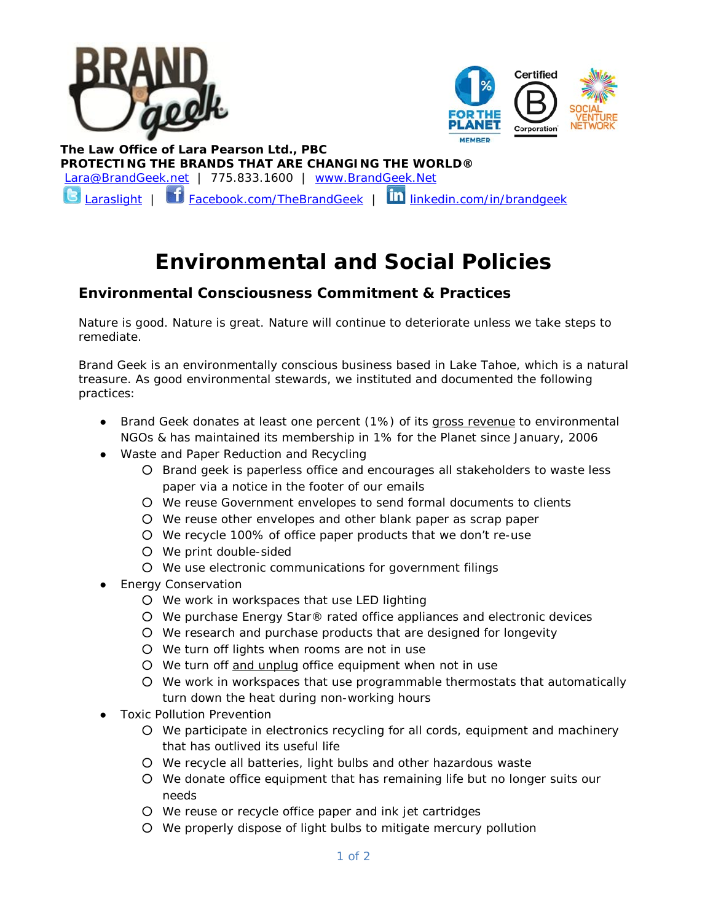



 **The Law Office of Lara Pearson Ltd., PBC PROTECTING THE BRANDS THAT ARE CHANGING THE WORLD®** [Lara@BrandGeek.net](mailto:Lara@BrandGeek.net) | 775.833.1600 | [www.BrandGeek.Net](http://www.brandgeek.net/) Laras<u>light</u> | **Com** [Facebook.com/TheBrandGeek](https://www.facebook.com/TheBrandGeek) | **in** [linkedin.com/in/brandgeek](http://www.linkedin.com/in/brandgeek/)

# **Environmental and Social Policies**

# **Environmental Consciousness Commitment & Practices**

Nature is good. Nature is great. Nature will continue to deteriorate unless we take steps to remediate.

Brand Geek is an environmentally conscious business based in Lake Tahoe, which is a natural treasure. As good environmental stewards, we instituted and documented the following practices:

- Brand Geek donates at least one percent (1%) of its gross revenue to environmental NGOs & has maintained its membership in 1% for the Planet since January, 2006
- Waste and Paper Reduction and Recycling
	- Brand geek is paperless office and encourages all stakeholders to waste less paper via a notice in the footer of our emails
	- We reuse Government envelopes to send formal documents to clients
	- We reuse other envelopes and other blank paper as scrap paper
	- We recycle 100% of office paper products that we don't re-use
	- We print double-sided
	- We use electronic communications for government filings
- Energy Conservation
	- We work in workspaces that use LED lighting
	- We purchase Energy Star® rated office appliances and electronic devices
	- We research and purchase products that are designed for longevity
	- We turn off lights when rooms are not in use
	- We turn off and unplug office equipment when not in use
	- We work in workspaces that use programmable thermostats that automatically turn down the heat during non-working hours
- **Toxic Pollution Prevention** 
	- We participate in electronics recycling for all cords, equipment and machinery that has outlived its useful life
	- We recycle all batteries, light bulbs and other hazardous waste
	- We donate office equipment that has remaining life but no longer suits our needs
	- We reuse or recycle office paper and ink jet cartridges
	- We properly dispose of light bulbs to mitigate mercury pollution